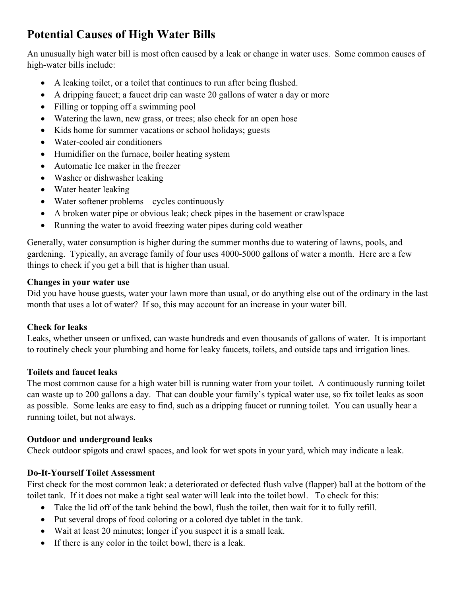# **Potential Causes of High Water Bills**

An unusually high water bill is most often caused by a leak or change in water uses. Some common causes of high-water bills include:

- A leaking toilet, or a toilet that continues to run after being flushed.
- A dripping faucet; a faucet drip can waste 20 gallons of water a day or more
- Filling or topping off a swimming pool
- Watering the lawn, new grass, or trees; also check for an open hose
- Kids home for summer vacations or school holidays; guests
- Water-cooled air conditioners
- Humidifier on the furnace, boiler heating system
- Automatic Ice maker in the freezer
- Washer or dishwasher leaking
- Water heater leaking
- Water softener problems cycles continuously
- A broken water pipe or obvious leak; check pipes in the basement or crawlspace
- Running the water to avoid freezing water pipes during cold weather

Generally, water consumption is higher during the summer months due to watering of lawns, pools, and gardening. Typically, an average family of four uses 4000-5000 gallons of water a month. Here are a few things to check if you get a bill that is higher than usual.

## **Changes in your water use**

Did you have house guests, water your lawn more than usual, or do anything else out of the ordinary in the last month that uses a lot of water? If so, this may account for an increase in your water bill.

## **Check for leaks**

Leaks, whether unseen or unfixed, can waste hundreds and even thousands of gallons of water. It is important to routinely check your plumbing and home for leaky faucets, toilets, and outside taps and irrigation lines.

## **Toilets and faucet leaks**

The most common cause for a high water bill is running water from your toilet. A continuously running toilet can waste up to 200 gallons a day. That can double your family's typical water use, so fix toilet leaks as soon as possible. Some leaks are easy to find, such as a dripping faucet or running toilet. You can usually hear a running toilet, but not always.

## **Outdoor and underground leaks**

Check outdoor spigots and crawl spaces, and look for wet spots in your yard, which may indicate a leak.

# **Do-It-Yourself Toilet Assessment**

First check for the most common leak: a deteriorated or defected flush valve (flapper) ball at the bottom of the toilet tank. If it does not make a tight seal water will leak into the toilet bowl. To check for this:

- Take the lid off of the tank behind the bowl, flush the toilet, then wait for it to fully refill.
- Put several drops of food coloring or a colored dye tablet in the tank.
- Wait at least 20 minutes; longer if you suspect it is a small leak.
- If there is any color in the toilet bowl, there is a leak.